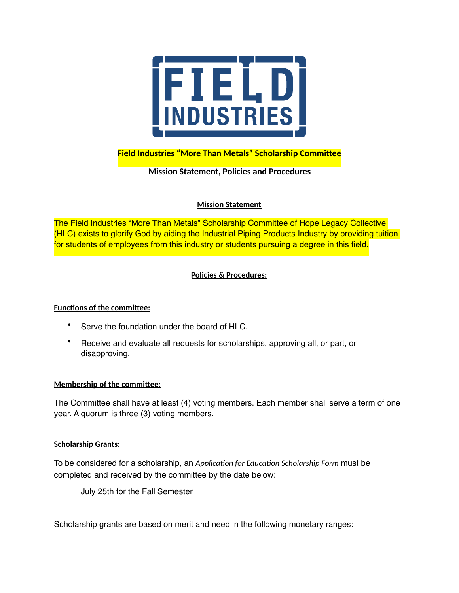

# **Field Industries "More Than Metals" Scholarship Committee**

## **Mission Statement, Policies and Procedures**

### **Mission Statement**

The Field Industries "More Than Metals" Scholarship Committee of Hope Legacy Collective (HLC) exists to glorify God by aiding the Industrial Piping Products Industry by providing tuition for students of employees from this industry or students pursuing a degree in this field.

### **Policies & Procedures:**

#### **Functions of the committee:**

- Serve the foundation under the board of HLC.
- Receive and evaluate all requests for scholarships, approving all, or part, or disapproving.

#### **Membership of the committee:**

The Committee shall have at least (4) voting members. Each member shall serve a term of one year. A quorum is three (3) voting members.

#### **Scholarship Grants:**

To be considered for a scholarship, an *Application for Education Scholarship Form* must be completed and received by the committee by the date below:

July 25th for the Fall Semester

Scholarship grants are based on merit and need in the following monetary ranges: